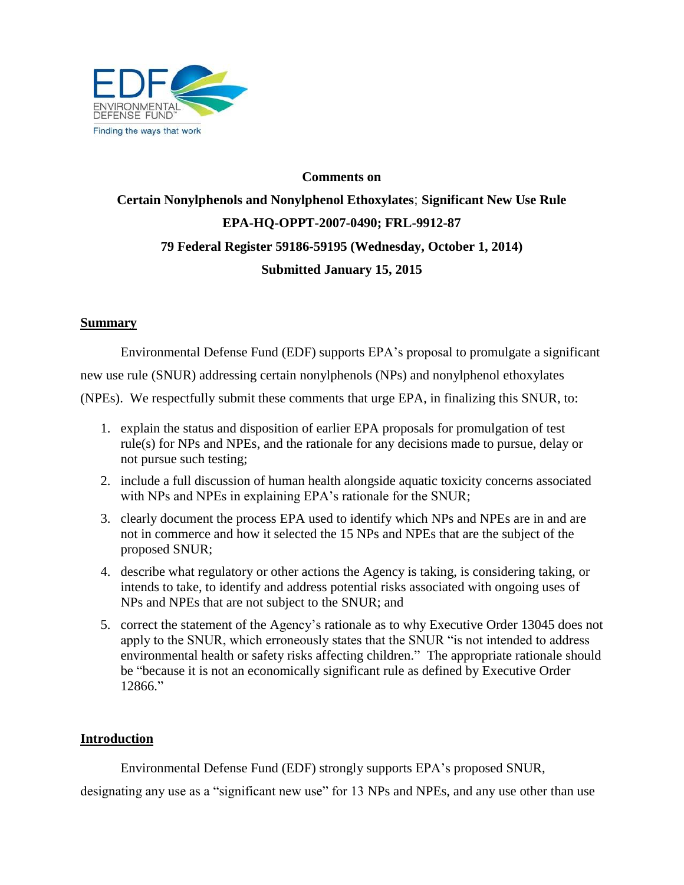

# **Comments on Certain Nonylphenols and Nonylphenol Ethoxylates**; **Significant New Use Rule EPA-HQ-OPPT-2007-0490; FRL-9912-87 79 Federal Register 59186-59195 (Wednesday, October 1, 2014) Submitted January 15, 2015**

# **Summary**

Environmental Defense Fund (EDF) supports EPA's proposal to promulgate a significant new use rule (SNUR) addressing certain nonylphenols (NPs) and nonylphenol ethoxylates (NPEs). We respectfully submit these comments that urge EPA, in finalizing this SNUR, to:

- 1. explain the status and disposition of earlier EPA proposals for promulgation of test rule(s) for NPs and NPEs, and the rationale for any decisions made to pursue, delay or not pursue such testing;
- 2. include a full discussion of human health alongside aquatic toxicity concerns associated with NPs and NPEs in explaining EPA's rationale for the SNUR;
- 3. clearly document the process EPA used to identify which NPs and NPEs are in and are not in commerce and how it selected the 15 NPs and NPEs that are the subject of the proposed SNUR;
- 4. describe what regulatory or other actions the Agency is taking, is considering taking, or intends to take, to identify and address potential risks associated with ongoing uses of NPs and NPEs that are not subject to the SNUR; and
- 5. correct the statement of the Agency's rationale as to why Executive Order 13045 does not apply to the SNUR, which erroneously states that the SNUR "is not intended to address environmental health or safety risks affecting children." The appropriate rationale should be "because it is not an economically significant rule as defined by Executive Order 12866."

### **Introduction**

Environmental Defense Fund (EDF) strongly supports EPA's proposed SNUR,

designating any use as a "significant new use" for 13 NPs and NPEs, and any use other than use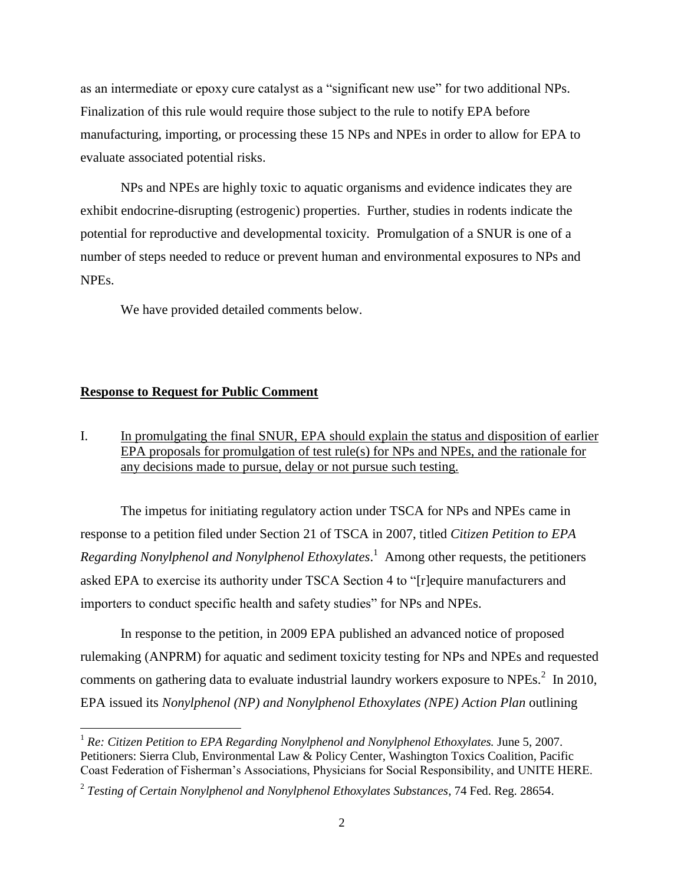as an intermediate or epoxy cure catalyst as a "significant new use" for two additional NPs. Finalization of this rule would require those subject to the rule to notify EPA before manufacturing, importing, or processing these 15 NPs and NPEs in order to allow for EPA to evaluate associated potential risks.

NPs and NPEs are highly toxic to aquatic organisms and evidence indicates they are exhibit endocrine-disrupting (estrogenic) properties. Further, studies in rodents indicate the potential for reproductive and developmental toxicity. Promulgation of a SNUR is one of a number of steps needed to reduce or prevent human and environmental exposures to NPs and NPEs.

We have provided detailed comments below.

#### **Response to Request for Public Comment**

l

I. In promulgating the final SNUR, EPA should explain the status and disposition of earlier EPA proposals for promulgation of test rule(s) for NPs and NPEs, and the rationale for any decisions made to pursue, delay or not pursue such testing.

The impetus for initiating regulatory action under TSCA for NPs and NPEs came in response to a petition filed under Section 21 of TSCA in 2007, titled *Citizen Petition to EPA Regarding Nonylphenol and Nonylphenol Ethoxylates*. 1 Among other requests, the petitioners asked EPA to exercise its authority under TSCA Section 4 to "[r]equire manufacturers and importers to conduct specific health and safety studies" for NPs and NPEs.

In response to the petition, in 2009 EPA published an advanced notice of proposed rulemaking (ANPRM) for aquatic and sediment toxicity testing for NPs and NPEs and requested comments on gathering data to evaluate industrial laundry workers exposure to NPEs.<sup>2</sup> In 2010, EPA issued its *Nonylphenol (NP) and Nonylphenol Ethoxylates (NPE) Action Plan* outlining

<sup>1</sup> *Re: Citizen Petition to EPA Regarding Nonylphenol and Nonylphenol Ethoxylates.* June 5, 2007. Petitioners: Sierra Club, Environmental Law & Policy Center, Washington Toxics Coalition, Pacific Coast Federation of Fisherman's Associations, Physicians for Social Responsibility, and UNITE HERE.

<sup>2</sup> *Testing of Certain Nonylphenol and Nonylphenol Ethoxylates Substances*, 74 Fed. Reg. 28654.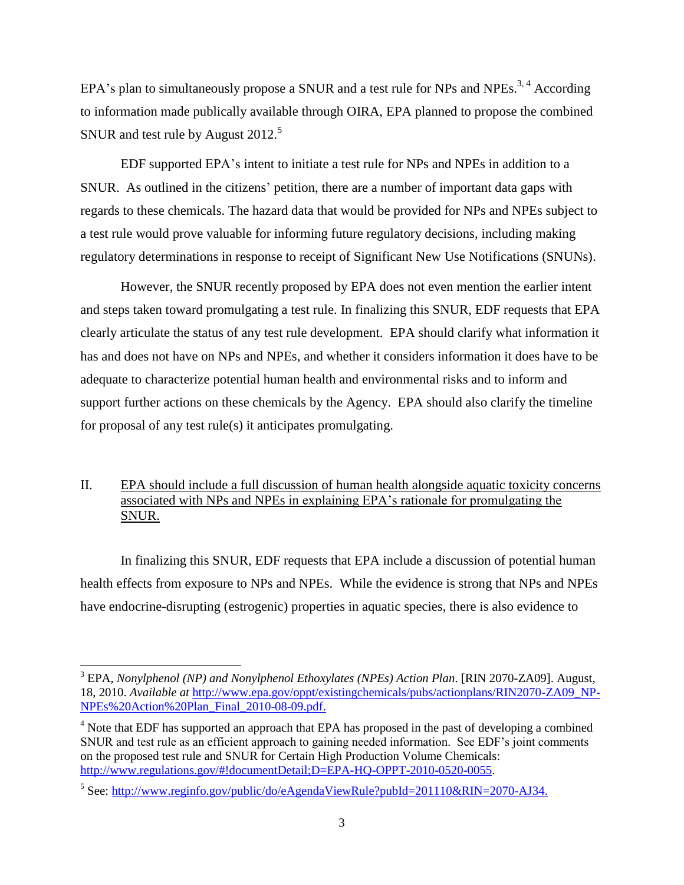EPA's plan to simultaneously propose a SNUR and a test rule for NPs and NPEs.<sup>3,4</sup> According to information made publically available through OIRA, EPA planned to propose the combined SNUR and test rule by August 2012.<sup>5</sup>

EDF supported EPA's intent to initiate a test rule for NPs and NPEs in addition to a SNUR. As outlined in the citizens' petition, there are a number of important data gaps with regards to these chemicals. The hazard data that would be provided for NPs and NPEs subject to a test rule would prove valuable for informing future regulatory decisions, including making regulatory determinations in response to receipt of Significant New Use Notifications (SNUNs).

However, the SNUR recently proposed by EPA does not even mention the earlier intent and steps taken toward promulgating a test rule. In finalizing this SNUR, EDF requests that EPA clearly articulate the status of any test rule development. EPA should clarify what information it has and does not have on NPs and NPEs, and whether it considers information it does have to be adequate to characterize potential human health and environmental risks and to inform and support further actions on these chemicals by the Agency. EPA should also clarify the timeline for proposal of any test rule(s) it anticipates promulgating.

# II. EPA should include a full discussion of human health alongside aquatic toxicity concerns associated with NPs and NPEs in explaining EPA's rationale for promulgating the SNUR.

In finalizing this SNUR, EDF requests that EPA include a discussion of potential human health effects from exposure to NPs and NPEs. While the evidence is strong that NPs and NPEs have endocrine-disrupting (estrogenic) properties in aquatic species, there is also evidence to

<sup>3</sup> EPA, *Nonylphenol (NP) and Nonylphenol Ethoxylates (NPEs) Action Plan*. [RIN 2070-ZA09]. August, 18, 2010. *Available at* [http://www.epa.gov/oppt/existingchemicals/pubs/actionplans/RIN2070-ZA09\\_NP-](http://www.epa.gov/oppt/existingchemicals/pubs/actionplans/RIN2070-ZA09_NP-NPEs%20Action%20Plan_Final_2010-08-09.pdf)[NPEs%20Action%20Plan\\_Final\\_2010-08-09.pdf.](http://www.epa.gov/oppt/existingchemicals/pubs/actionplans/RIN2070-ZA09_NP-NPEs%20Action%20Plan_Final_2010-08-09.pdf)

<sup>&</sup>lt;sup>4</sup> Note that EDF has supported an approach that EPA has proposed in the past of developing a combined SNUR and test rule as an efficient approach to gaining needed information. See EDF's joint comments on the proposed test rule and SNUR for Certain High Production Volume Chemicals: [http://www.regulations.gov/#!documentDetail;D=EPA-HQ-OPPT-2010-0520-0055.](http://www.regulations.gov/#!documentDetail;D=EPA-HQ-OPPT-2010-0520-0055)

<sup>&</sup>lt;sup>5</sup> See: [http://www.reginfo.gov/public/do/eAgendaViewRule?pubId=201110&RIN=2070-AJ34.](http://www.reginfo.gov/public/do/eAgendaViewRule?pubId=201110&RIN=2070-AJ34)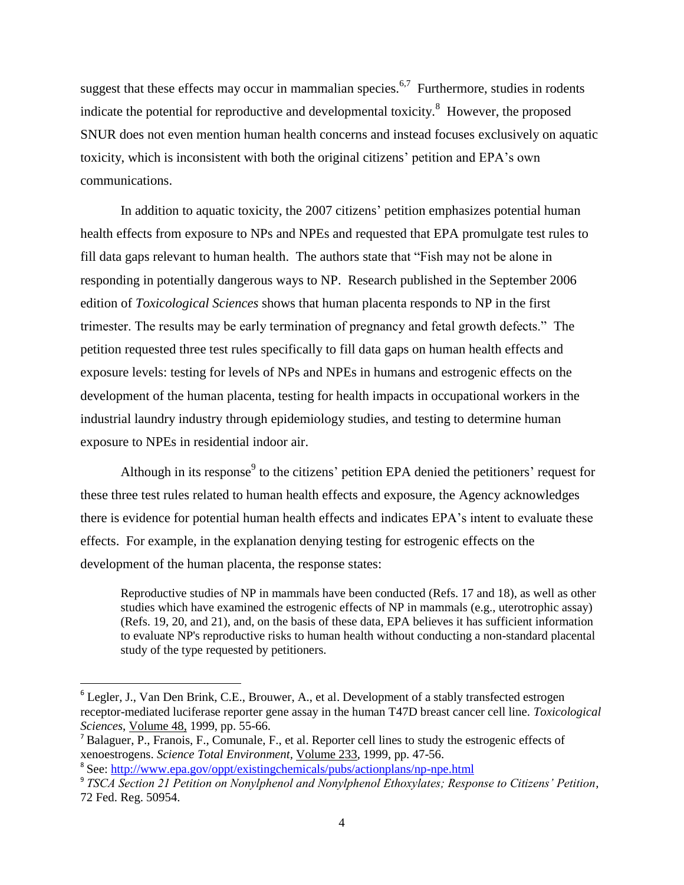suggest that these effects may occur in mammalian species.<sup>6,7</sup> Furthermore, studies in rodents indicate the potential for reproductive and developmental toxicity.<sup>8</sup> However, the proposed SNUR does not even mention human health concerns and instead focuses exclusively on aquatic toxicity, which is inconsistent with both the original citizens' petition and EPA's own communications.

In addition to aquatic toxicity, the 2007 citizens' petition emphasizes potential human health effects from exposure to NPs and NPEs and requested that EPA promulgate test rules to fill data gaps relevant to human health. The authors state that "Fish may not be alone in responding in potentially dangerous ways to NP. Research published in the September 2006 edition of *Toxicological Sciences* shows that human placenta responds to NP in the first trimester. The results may be early termination of pregnancy and fetal growth defects." The petition requested three test rules specifically to fill data gaps on human health effects and exposure levels: testing for levels of NPs and NPEs in humans and estrogenic effects on the development of the human placenta, testing for health impacts in occupational workers in the industrial laundry industry through epidemiology studies, and testing to determine human exposure to NPEs in residential indoor air.

Although in its response<sup>9</sup> to the citizens' petition EPA denied the petitioners' request for these three test rules related to human health effects and exposure, the Agency acknowledges there is evidence for potential human health effects and indicates EPA's intent to evaluate these effects. For example, in the explanation denying testing for estrogenic effects on the development of the human placenta, the response states:

Reproductive studies of NP in mammals have been conducted (Refs. 17 and 18), as well as other studies which have examined the estrogenic effects of NP in mammals (e.g., uterotrophic assay) (Refs. 19, 20, and 21), and, on the basis of these data, EPA believes it has sufficient information to evaluate NP's reproductive risks to human health without conducting a non-standard placental study of the type requested by petitioners.

<sup>&</sup>lt;sup>6</sup> Legler, J., Van Den Brink, C.E., Brouwer, A., et al. Development of a stably transfected estrogen receptor-mediated luciferase reporter gene assay in the human T47D breast cancer cell line. *Toxicological Sciences*, Volume 48, 1999, pp. 55-66.

<sup>7</sup> Balaguer, P., Franois, F., Comunale, F., et al. Reporter cell lines to study the estrogenic effects of xenoestrogens. *Science Total Environment,* Volume 233, 1999, pp. 47-56.

<sup>&</sup>lt;sup>8</sup> See:<http://www.epa.gov/oppt/existingchemicals/pubs/actionplans/np-npe.html>

<sup>9</sup> *TSCA Section 21 Petition on Nonylphenol and Nonylphenol Ethoxylates; Response to Citizens' Petition,* 72 Fed. Reg. 50954.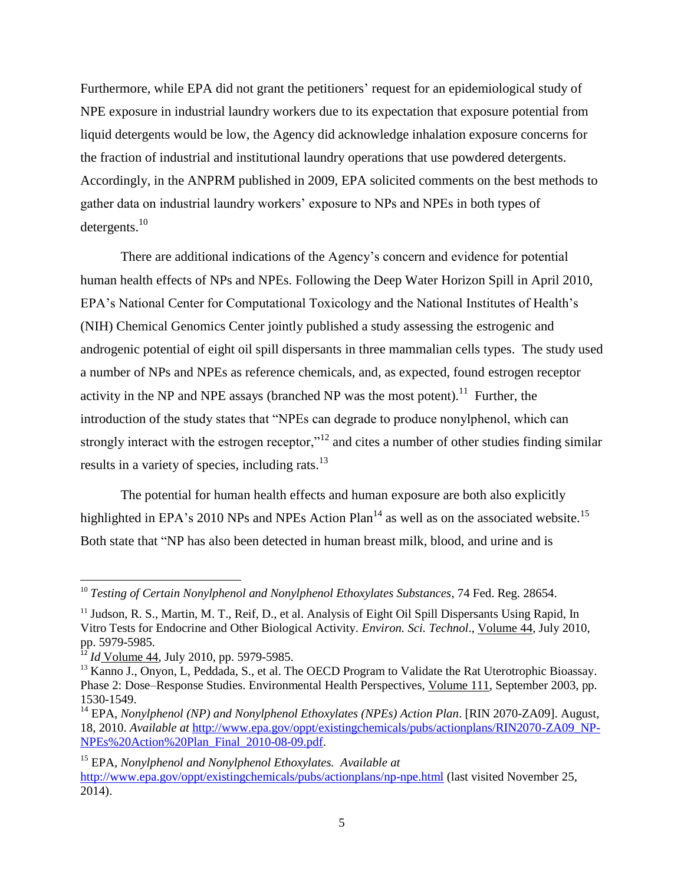Furthermore, while EPA did not grant the petitioners' request for an epidemiological study of NPE exposure in industrial laundry workers due to its expectation that exposure potential from liquid detergents would be low, the Agency did acknowledge inhalation exposure concerns for the fraction of industrial and institutional laundry operations that use powdered detergents. Accordingly, in the ANPRM published in 2009, EPA solicited comments on the best methods to gather data on industrial laundry workers' exposure to NPs and NPEs in both types of detergents.<sup>10</sup>

There are additional indications of the Agency's concern and evidence for potential human health effects of NPs and NPEs. Following the Deep Water Horizon Spill in April 2010, EPA's National Center for Computational Toxicology and the National Institutes of Health's (NIH) Chemical Genomics Center jointly published a study assessing the estrogenic and androgenic potential of eight oil spill dispersants in three mammalian cells types. The study used a number of NPs and NPEs as reference chemicals, and, as expected, found estrogen receptor activity in the NP and NPE assays (branched NP was the most potent).<sup>11</sup> Further, the introduction of the study states that "NPEs can degrade to produce nonylphenol, which can strongly interact with the estrogen receptor,"<sup>12</sup> and cites a number of other studies finding similar results in a variety of species, including rats.<sup>13</sup>

The potential for human health effects and human exposure are both also explicitly highlighted in EPA's 2010 NPs and NPEs Action Plan<sup>14</sup> as well as on the associated website.<sup>15</sup> Both state that "NP has also been detected in human breast milk, blood, and urine and is

l

<sup>10</sup> *Testing of Certain Nonylphenol and Nonylphenol Ethoxylates Substances*, 74 Fed. Reg. 28654.

<sup>&</sup>lt;sup>11</sup> Judson, R. S., Martin, M. T., Reif, D., et al. Analysis of Eight Oil Spill Dispersants Using Rapid, In Vitro Tests for Endocrine and Other Biological Activity. *Environ. Sci. Technol*., Volume 44, July 2010, pp. 5979-5985.

<sup>12</sup> *Id* Volume 44, July 2010, pp. 5979-5985.

<sup>&</sup>lt;sup>13</sup> Kanno J., Onyon, L, Peddada, S., et al. The OECD Program to Validate the Rat Uterotrophic Bioassay. Phase 2: Dose–Response Studies. Environmental Health Perspectives, Volume 111, September 2003, pp. 1530-1549.

<sup>&</sup>lt;sup>14</sup> EPA, *Nonylphenol (NP) and Nonylphenol Ethoxylates (NPEs) Action Plan.* [RIN 2070-ZA09]. August, 18, 2010. *Available at* [http://www.epa.gov/oppt/existingchemicals/pubs/actionplans/RIN2070-ZA09\\_NP-](http://www.epa.gov/oppt/existingchemicals/pubs/actionplans/RIN2070-ZA09_NP-NPEs%20Action%20Plan_Final_2010-08-09.pdf)[NPEs%20Action%20Plan\\_Final\\_2010-08-09.pdf.](http://www.epa.gov/oppt/existingchemicals/pubs/actionplans/RIN2070-ZA09_NP-NPEs%20Action%20Plan_Final_2010-08-09.pdf)

<sup>15</sup> EPA, *Nonylphenol and Nonylphenol Ethoxylates. Available at*  <http://www.epa.gov/oppt/existingchemicals/pubs/actionplans/np-npe.html> (last visited November 25, 2014).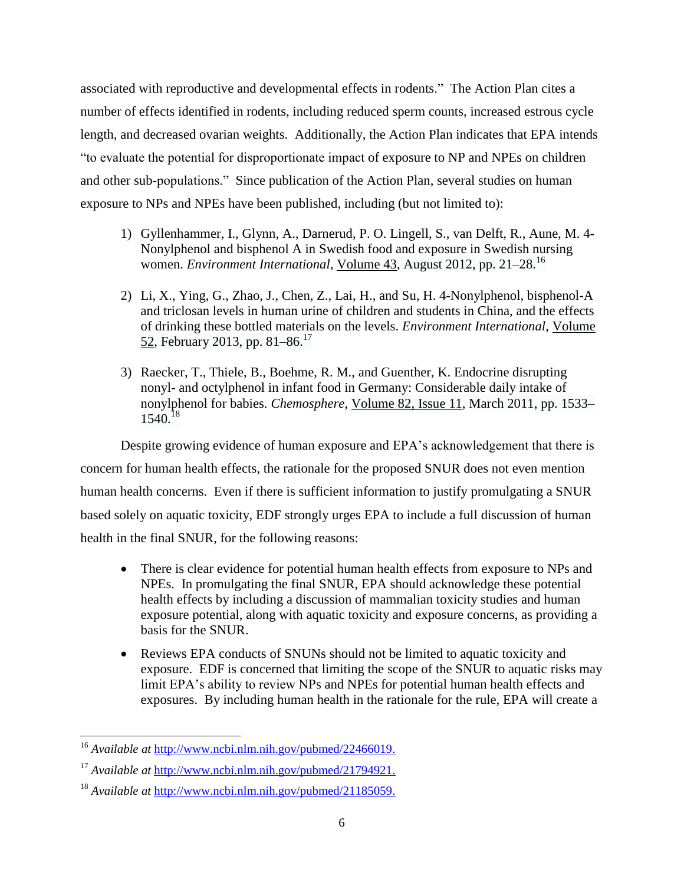associated with reproductive and developmental effects in rodents." The Action Plan cites a number of effects identified in rodents, including reduced sperm counts, increased estrous cycle length, and decreased ovarian weights. Additionally, the Action Plan indicates that EPA intends "to evaluate the potential for disproportionate impact of exposure to NP and NPEs on children and other sub-populations." Since publication of the Action Plan, several studies on human exposure to NPs and NPEs have been published, including (but not limited to):

- 1) Gyllenhammer, I., Glynn, A., Darnerud, P. O. Lingell, S., van Delft, R., Aune, M. 4- Nonylphenol and bisphenol A in Swedish food and exposure in Swedish nursing women. *Environment International*, [Volume](http://www.sciencedirect.com/science/journal/01604120/43/supp/C) 43, August 2012, pp. 21–28.<sup>16</sup>
- 2) Li, X., Ying, G., Zhao, J., Chen, Z., Lai, H., and Su, H. 4-Nonylphenol, bisphenol-A and triclosan levels in human urine of children and students in China, and the effects of drinking these bottled materials on the levels. *Environment International*, [Volume](http://www.sciencedirect.com/science/journal/01604120/52/supp/C) [52,](http://www.sciencedirect.com/science/journal/01604120/52/supp/C) February 2013, pp. 81–86.<sup>17</sup>
- 3) Raecker, T., Thiele, B., Boehme, R. M., and Guenther, K. Endocrine disrupting nonyl- and octylphenol in infant food in Germany: Considerable daily intake of nonylphenol for babies. *Chemosphere*, [Volume](http://www.sciencedirect.com/science/journal/00456535/82/11) 82, Issue 11, March 2011, pp. 1533– 1540.<sup>18</sup>

Despite growing evidence of human exposure and EPA's acknowledgement that there is concern for human health effects, the rationale for the proposed SNUR does not even mention human health concerns. Even if there is sufficient information to justify promulgating a SNUR based solely on aquatic toxicity, EDF strongly urges EPA to include a full discussion of human health in the final SNUR, for the following reasons:

- There is clear evidence for potential human health effects from exposure to NPs and NPEs. In promulgating the final SNUR, EPA should acknowledge these potential health effects by including a discussion of mammalian toxicity studies and human exposure potential, along with aquatic toxicity and exposure concerns, as providing a basis for the SNUR.
- Reviews EPA conducts of SNUNs should not be limited to aquatic toxicity and exposure. EDF is concerned that limiting the scope of the SNUR to aquatic risks may limit EPA's ability to review NPs and NPEs for potential human health effects and exposures. By including human health in the rationale for the rule, EPA will create a

 $\overline{a}$ 

<sup>16</sup> *Available at* [http://www.ncbi.nlm.nih.gov/pubmed/22466019.](http://www.ncbi.nlm.nih.gov/pubmed/22466019)

<sup>17</sup> *Available at* [http://www.ncbi.nlm.nih.gov/pubmed/21794921.](http://www.ncbi.nlm.nih.gov/pubmed/21794921)

<sup>18</sup> *Available at* [http://www.ncbi.nlm.nih.gov/pubmed/21185059.](http://www.ncbi.nlm.nih.gov/pubmed/21185059)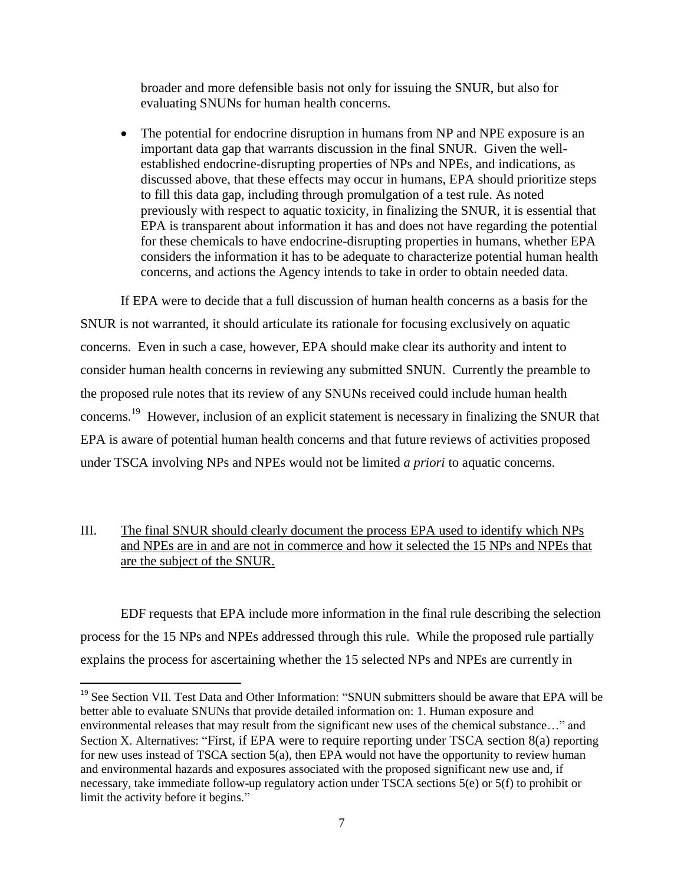broader and more defensible basis not only for issuing the SNUR, but also for evaluating SNUNs for human health concerns.

 The potential for endocrine disruption in humans from NP and NPE exposure is an important data gap that warrants discussion in the final SNUR. Given the wellestablished endocrine-disrupting properties of NPs and NPEs, and indications, as discussed above, that these effects may occur in humans, EPA should prioritize steps to fill this data gap, including through promulgation of a test rule. As noted previously with respect to aquatic toxicity, in finalizing the SNUR, it is essential that EPA is transparent about information it has and does not have regarding the potential for these chemicals to have endocrine-disrupting properties in humans, whether EPA considers the information it has to be adequate to characterize potential human health concerns, and actions the Agency intends to take in order to obtain needed data.

If EPA were to decide that a full discussion of human health concerns as a basis for the SNUR is not warranted, it should articulate its rationale for focusing exclusively on aquatic concerns. Even in such a case, however, EPA should make clear its authority and intent to consider human health concerns in reviewing any submitted SNUN. Currently the preamble to the proposed rule notes that its review of any SNUNs received could include human health concerns.<sup>19</sup> However, inclusion of an explicit statement is necessary in finalizing the SNUR that EPA is aware of potential human health concerns and that future reviews of activities proposed under TSCA involving NPs and NPEs would not be limited *a priori* to aquatic concerns.

# III. The final SNUR should clearly document the process EPA used to identify which NPs and NPEs are in and are not in commerce and how it selected the 15 NPs and NPEs that are the subject of the SNUR.

EDF requests that EPA include more information in the final rule describing the selection process for the 15 NPs and NPEs addressed through this rule. While the proposed rule partially explains the process for ascertaining whether the 15 selected NPs and NPEs are currently in

l

<sup>&</sup>lt;sup>19</sup> See Section VII. Test Data and Other Information: "SNUN submitters should be aware that EPA will be better able to evaluate SNUNs that provide detailed information on: 1. Human exposure and environmental releases that may result from the significant new uses of the chemical substance…" and Section X. Alternatives: "First, if EPA were to require reporting under TSCA section 8(a) reporting for new uses instead of TSCA section 5(a), then EPA would not have the opportunity to review human and environmental hazards and exposures associated with the proposed significant new use and, if necessary, take immediate follow-up regulatory action under TSCA sections 5(e) or 5(f) to prohibit or limit the activity before it begins."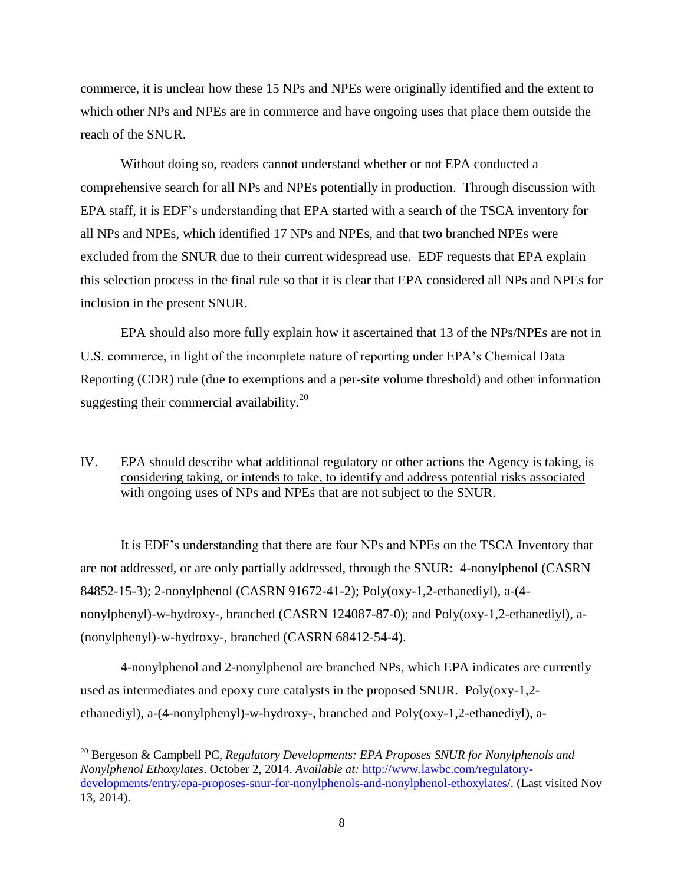commerce, it is unclear how these 15 NPs and NPEs were originally identified and the extent to which other NPs and NPEs are in commerce and have ongoing uses that place them outside the reach of the SNUR.

Without doing so, readers cannot understand whether or not EPA conducted a comprehensive search for all NPs and NPEs potentially in production. Through discussion with EPA staff, it is EDF's understanding that EPA started with a search of the TSCA inventory for all NPs and NPEs, which identified 17 NPs and NPEs, and that two branched NPEs were excluded from the SNUR due to their current widespread use. EDF requests that EPA explain this selection process in the final rule so that it is clear that EPA considered all NPs and NPEs for inclusion in the present SNUR.

EPA should also more fully explain how it ascertained that 13 of the NPs/NPEs are not in U.S. commerce, in light of the incomplete nature of reporting under EPA's Chemical Data Reporting (CDR) rule (due to exemptions and a per-site volume threshold) and other information suggesting their commercial availability.<sup>20</sup>

# IV. EPA should describe what additional regulatory or other actions the Agency is taking, is considering taking, or intends to take, to identify and address potential risks associated with ongoing uses of NPs and NPEs that are not subject to the SNUR.

It is EDF's understanding that there are four NPs and NPEs on the TSCA Inventory that are not addressed, or are only partially addressed, through the SNUR: 4-nonylphenol (CASRN 84852-15-3); 2-nonylphenol (CASRN 91672-41-2); Poly(oxy-1,2-ethanediyl), a-(4 nonylphenyl)-w-hydroxy-, branched (CASRN 124087-87-0); and Poly(oxy-1,2-ethanediyl), a- (nonylphenyl)-w-hydroxy-, branched (CASRN 68412-54-4).

4-nonylphenol and 2-nonylphenol are branched NPs, which EPA indicates are currently used as intermediates and epoxy cure catalysts in the proposed SNUR. Poly(oxy-1,2 ethanediyl), a-(4-nonylphenyl)-w-hydroxy-, branched and Poly(oxy-1,2-ethanediyl), a-

l

<sup>20</sup> Bergeson & Campbell PC, *Regulatory Developments: EPA Proposes SNUR for Nonylphenols and Nonylphenol Ethoxylates*. October 2, 2014. *Available at:* [http://www.lawbc.com/regulatory](http://www.lawbc.com/regulatory-developments/entry/epa-proposes-snur-for-nonylphenols-and-nonylphenol-ethoxylates/)[developments/entry/epa-proposes-snur-for-nonylphenols-and-nonylphenol-ethoxylates/.](http://www.lawbc.com/regulatory-developments/entry/epa-proposes-snur-for-nonylphenols-and-nonylphenol-ethoxylates/) (Last visited Nov 13, 2014).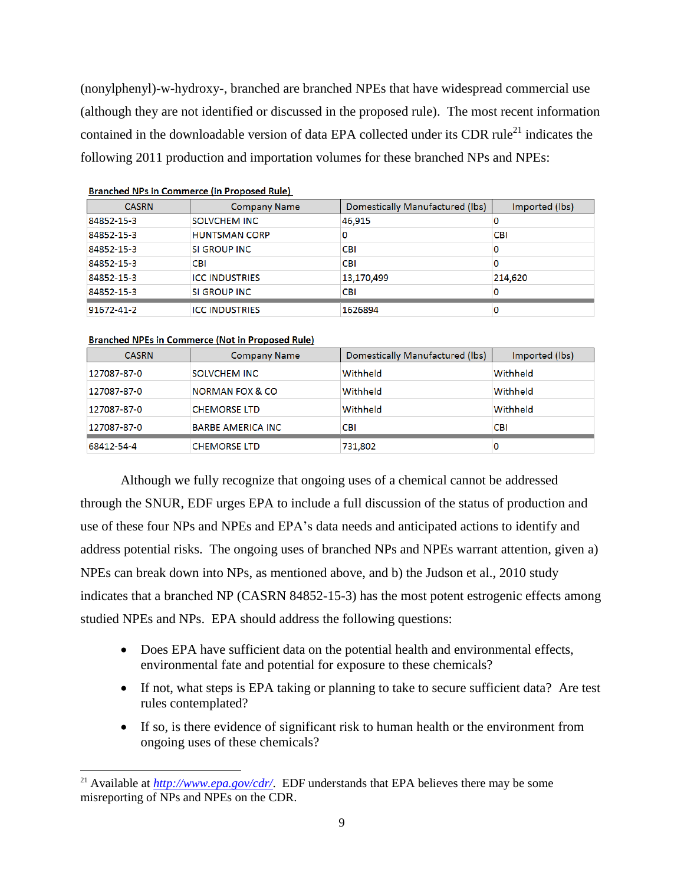(nonylphenyl)-w-hydroxy-, branched are branched NPEs that have widespread commercial use (although they are not identified or discussed in the proposed rule). The most recent information contained in the downloadable version of data EPA collected under its CDR rule<sup>21</sup> indicates the following 2011 production and importation volumes for these branched NPs and NPEs:

| <b>CASRN</b> | <b>Company Name</b>   | Domestically Manufactured (lbs) | Imported (lbs) |
|--------------|-----------------------|---------------------------------|----------------|
| 84852-15-3   | SOLVCHEM INC          | 46,915                          | 0              |
| 84852-15-3   | <b>HUNTSMAN CORP</b>  | 0                               | <b>CBI</b>     |
| 84852-15-3   | SI GROUP INC          | <b>CBI</b>                      | 0              |
| 84852-15-3   | <b>CBI</b>            | <b>CBI</b>                      | 0              |
| 84852-15-3   | <b>ICC INDUSTRIES</b> | 13,170,499                      | 214,620        |
| 84852-15-3   | SI GROUP INC          | <b>CBI</b>                      | 0              |
| 91672-41-2   | <b>ICC INDUSTRIES</b> | 1626894                         | 0              |

| <b>Branched NPs in Commerce (in Proposed Rule)</b> |  |
|----------------------------------------------------|--|
|----------------------------------------------------|--|

#### **Branched NPEs in Commerce (Not in Proposed Rule)**

 $\overline{\phantom{a}}$ 

| <b>CASRN</b> | <b>Company Name</b>        | Domestically Manufactured (lbs) | Imported (lbs) |
|--------------|----------------------------|---------------------------------|----------------|
| 127087-87-0  | <b>SOLVCHEM INC</b>        | Withheld                        | Withheld       |
| 127087-87-0  | <b>NORMAN FOX &amp; CO</b> | Withheld                        | Withheld       |
| 127087-87-0  | <b>CHEMORSE LTD</b>        | Withheld                        | Withheld       |
| 127087-87-0  | <b>BARBE AMERICA INC.</b>  | <b>CBI</b>                      | <b>CBI</b>     |
| 68412-54-4   | <b>CHEMORSE LTD</b>        | 731,802                         | 0              |

Although we fully recognize that ongoing uses of a chemical cannot be addressed through the SNUR, EDF urges EPA to include a full discussion of the status of production and use of these four NPs and NPEs and EPA's data needs and anticipated actions to identify and address potential risks. The ongoing uses of branched NPs and NPEs warrant attention, given a) NPEs can break down into NPs, as mentioned above, and b) the Judson et al., 2010 study indicates that a branched NP (CASRN 84852-15-3) has the most potent estrogenic effects among studied NPEs and NPs. EPA should address the following questions:

- Does EPA have sufficient data on the potential health and environmental effects, environmental fate and potential for exposure to these chemicals?
- If not, what steps is EPA taking or planning to take to secure sufficient data? Are test rules contemplated?
- If so, is there evidence of significant risk to human health or the environment from ongoing uses of these chemicals?

<sup>&</sup>lt;sup>21</sup> Available at *<http://www.epa.gov/cdr/>*. EDF understands that EPA believes there may be some misreporting of NPs and NPEs on the CDR.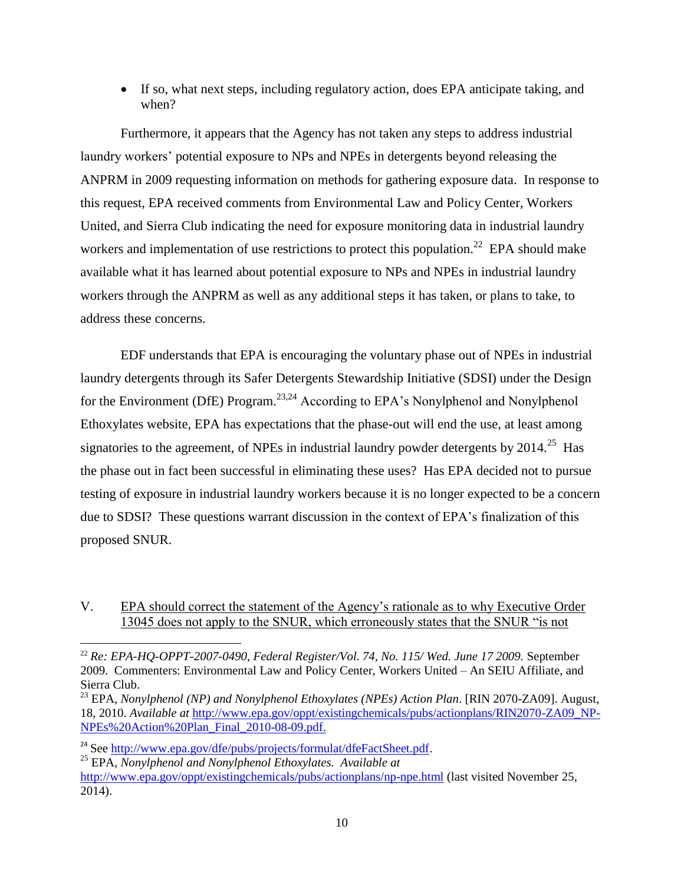If so, what next steps, including regulatory action, does EPA anticipate taking, and when?

Furthermore, it appears that the Agency has not taken any steps to address industrial laundry workers' potential exposure to NPs and NPEs in detergents beyond releasing the ANPRM in 2009 requesting information on methods for gathering exposure data. In response to this request, EPA received comments from Environmental Law and Policy Center, Workers United, and Sierra Club indicating the need for exposure monitoring data in industrial laundry workers and implementation of use restrictions to protect this population.<sup>22</sup> EPA should make available what it has learned about potential exposure to NPs and NPEs in industrial laundry workers through the ANPRM as well as any additional steps it has taken, or plans to take, to address these concerns.

EDF understands that EPA is encouraging the voluntary phase out of NPEs in industrial laundry detergents through its Safer Detergents Stewardship Initiative (SDSI) under the Design for the Environment (DfE) Program.<sup>23,24</sup> According to EPA's Nonylphenol and Nonylphenol Ethoxylates website, EPA has expectations that the phase-out will end the use, at least among signatories to the agreement, of NPEs in industrial laundry powder detergents by  $2014.^{25}$  Has the phase out in fact been successful in eliminating these uses? Has EPA decided not to pursue testing of exposure in industrial laundry workers because it is no longer expected to be a concern due to SDSI? These questions warrant discussion in the context of EPA's finalization of this proposed SNUR.

V. EPA should correct the statement of the Agency's rationale as to why Executive Order 13045 does not apply to the SNUR, which erroneously states that the SNUR "is not

- <sup>24</sup> See [http://www.epa.gov/dfe/pubs/projects/formulat/dfeFactSheet.pdf.](http://www.epa.gov/dfe/pubs/projects/formulat/dfeFactSheet.pdf)
- <sup>25</sup> EPA, *Nonylphenol and Nonylphenol Ethoxylates. Available at*

<sup>22</sup> *Re: EPA-HQ-OPPT-2007-0490, Federal Register/Vol. 74, No. 115/ Wed. June 17 2009.* September 2009. Commenters: Environmental Law and Policy Center, Workers United – An SEIU Affiliate, and Sierra Club.

<sup>23</sup> EPA, *Nonylphenol (NP) and Nonylphenol Ethoxylates (NPEs) Action Plan*. [RIN 2070-ZA09]. August, 18, 2010. *Available at* [http://www.epa.gov/oppt/existingchemicals/pubs/actionplans/RIN2070-ZA09\\_NP-](http://www.epa.gov/oppt/existingchemicals/pubs/actionplans/RIN2070-ZA09_NP-NPEs%20Action%20Plan_Final_2010-08-09.pdf)[NPEs%20Action%20Plan\\_Final\\_2010-08-09.pdf.](http://www.epa.gov/oppt/existingchemicals/pubs/actionplans/RIN2070-ZA09_NP-NPEs%20Action%20Plan_Final_2010-08-09.pdf)

<http://www.epa.gov/oppt/existingchemicals/pubs/actionplans/np-npe.html> (last visited November 25, 2014).